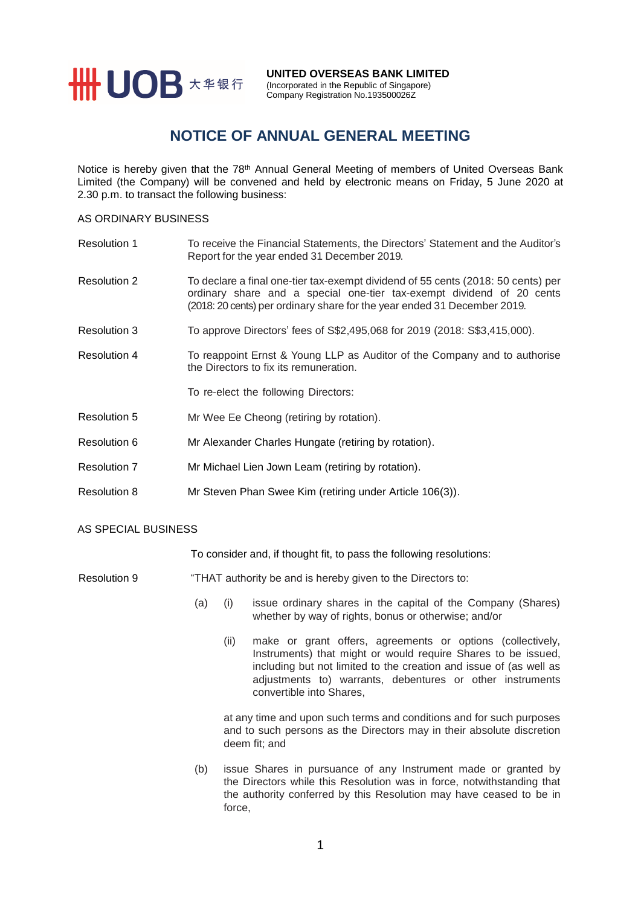

**UNITED OVERSEAS BANK LIMITED** (Incorporated in the Republic of Singapore)

# Company Registration No.193500026Z

## **NOTICE OF ANNUAL GENERAL MEETING**

Notice is hereby given that the 78<sup>th</sup> Annual General Meeting of members of United Overseas Bank Limited (the Company) will be convened and held by electronic means on Friday, 5 June 2020 at 2.30 p.m. to transact the following business:

### AS ORDINARY BUSINESS

| <b>Resolution 1</b> | To receive the Financial Statements, the Directors' Statement and the Auditor's<br>Report for the year ended 31 December 2019.                                                                                                        |
|---------------------|---------------------------------------------------------------------------------------------------------------------------------------------------------------------------------------------------------------------------------------|
| <b>Resolution 2</b> | To declare a final one-tier tax-exempt dividend of 55 cents (2018: 50 cents) per<br>ordinary share and a special one-tier tax-exempt dividend of 20 cents<br>(2018: 20 cents) per ordinary share for the year ended 31 December 2019. |
| Resolution 3        | To approve Directors' fees of S\$2,495,068 for 2019 (2018: S\$3,415,000).                                                                                                                                                             |
| <b>Resolution 4</b> | To reappoint Ernst & Young LLP as Auditor of the Company and to authorise<br>the Directors to fix its remuneration.                                                                                                                   |
|                     | To re-elect the following Directors:                                                                                                                                                                                                  |
| <b>Resolution 5</b> | Mr Wee Ee Cheong (retiring by rotation).                                                                                                                                                                                              |
| Resolution 6        | Mr Alexander Charles Hungate (retiring by rotation).                                                                                                                                                                                  |
| <b>Resolution 7</b> | Mr Michael Lien Jown Leam (retiring by rotation).                                                                                                                                                                                     |
| <b>Resolution 8</b> | Mr Steven Phan Swee Kim (retiring under Article 106(3)).                                                                                                                                                                              |

#### AS SPECIAL BUSINESS

To consider and, if thought fit, to pass the following resolutions:

#### Resolution 9 "THAT authority be and is hereby given to the Directors to:

- (a) (i) issue ordinary shares in the capital of the Company (Shares) whether by way of rights, bonus or otherwise; and/or
	- (ii) make or grant offers, agreements or options (collectively, Instruments) that might or would require Shares to be issued, including but not limited to the creation and issue of (as well as adjustments to) warrants, debentures or other instruments convertible into Shares,

at any time and upon such terms and conditions and for such purposes and to such persons as the Directors may in their absolute discretion deem fit; and

(b) issue Shares in pursuance of any Instrument made or granted by the Directors while this Resolution was in force, notwithstanding that the authority conferred by this Resolution may have ceased to be in force,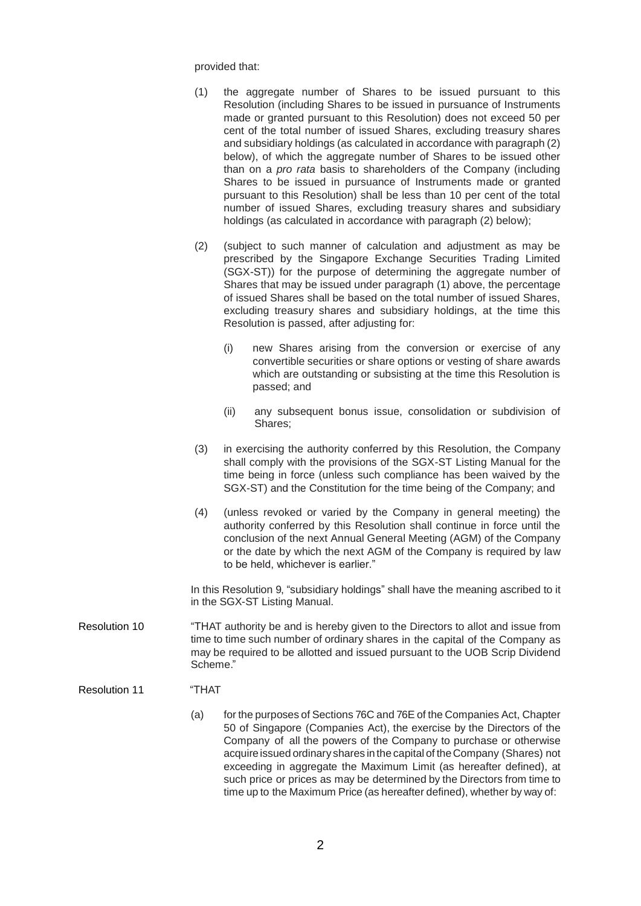provided that:

- (1) the aggregate number of Shares to be issued pursuant to this Resolution (including Shares to be issued in pursuance of Instruments made or granted pursuant to this Resolution) does not exceed 50 per cent of the total number of issued Shares, excluding treasury shares and subsidiary holdings (as calculated in accordance with paragraph (2) below), of which the aggregate number of Shares to be issued other than on a *pro rata* basis to shareholders of the Company (including Shares to be issued in pursuance of Instruments made or granted pursuant to this Resolution) shall be less than 10 per cent of the total number of issued Shares, excluding treasury shares and subsidiary holdings (as calculated in accordance with paragraph (2) below);
- (2) (subject to such manner of calculation and adjustment as may be prescribed by the Singapore Exchange Securities Trading Limited (SGX-ST)) for the purpose of determining the aggregate number of Shares that may be issued under paragraph (1) above, the percentage of issued Shares shall be based on the total number of issued Shares, excluding treasury shares and subsidiary holdings, at the time this Resolution is passed, after adjusting for:
	- (i) new Shares arising from the conversion or exercise of any convertible securities or share options or vesting of share awards which are outstanding or subsisting at the time this Resolution is passed; and
	- (ii) any subsequent bonus issue, consolidation or subdivision of Shares;
- (3) in exercising the authority conferred by this Resolution, the Company shall comply with the provisions of the SGX-ST Listing Manual for the time being in force (unless such compliance has been waived by the SGX-ST) and the Constitution for the time being of the Company; and
- (4) (unless revoked or varied by the Company in general meeting) the authority conferred by this Resolution shall continue in force until the conclusion of the next Annual General Meeting (AGM) of the Company or the date by which the next AGM of the Company is required by law to be held, whichever is earlier."

In this Resolution 9, "subsidiary holdings" shall have the meaning ascribed to it in the SGX-ST Listing Manual.

- Resolution 10 "THAT authority be and is hereby given to the Directors to allot and issue from time to time such number of ordinary shares in the capital of the Company as may be required to be allotted and issued pursuant to the UOB Scrip Dividend Scheme."
- Resolution 11 "THAT
	- (a) for the purposes of Sections 76C and 76E of the Companies Act, Chapter 50 of Singapore (Companies Act), the exercise by the Directors of the Company of all the powers of the Company to purchase or otherwise acquire issued ordinary shares in the capital of theCompany (Shares) not exceeding in aggregate the Maximum Limit (as hereafter defined), at such price or prices as may be determined by the Directors from time to time up to the Maximum Price (as hereafter defined), whether by way of: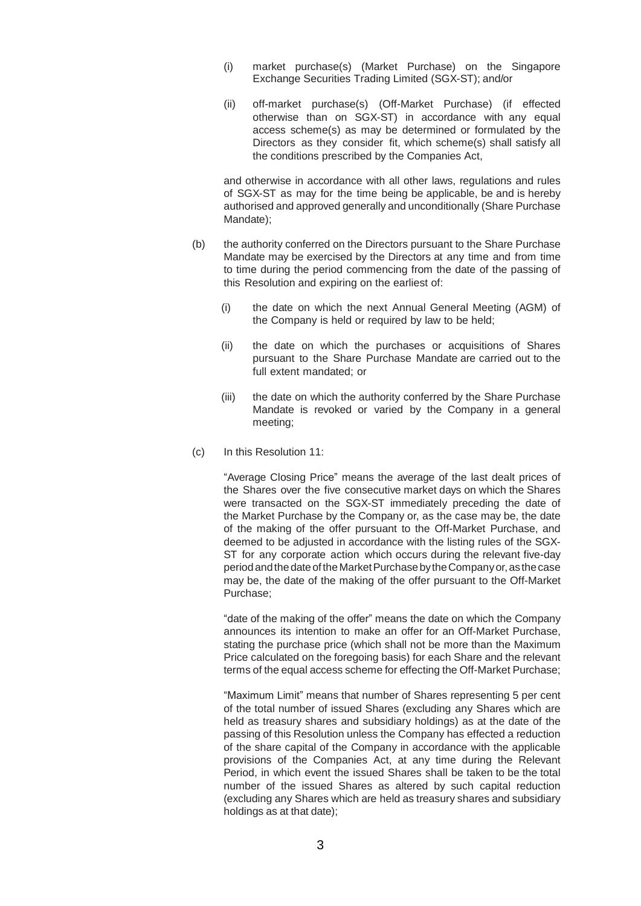- (i) market purchase(s) (Market Purchase) on the Singapore Exchange Securities Trading Limited (SGX-ST); and/or
- (ii) off-market purchase(s) (Off-Market Purchase) (if effected otherwise than on SGX-ST) in accordance with any equal access scheme(s) as may be determined or formulated by the Directors as they consider fit, which scheme(s) shall satisfy all the conditions prescribed by the Companies Act,

and otherwise in accordance with all other laws, regulations and rules of SGX-ST as may for the time being be applicable, be and is hereby authorised and approved generally and unconditionally (Share Purchase Mandate);

- (b) the authority conferred on the Directors pursuant to the Share Purchase Mandate may be exercised by the Directors at any time and from time to time during the period commencing from the date of the passing of this Resolution and expiring on the earliest of:
	- (i) the date on which the next Annual General Meeting (AGM) of the Company is held or required by law to be held;
	- (ii) the date on which the purchases or acquisitions of Shares pursuant to the Share Purchase Mandate are carried out to the full extent mandated; or
	- (iii) the date on which the authority conferred by the Share Purchase Mandate is revoked or varied by the Company in a general meeting;
- (c) In this Resolution 11:

"Average Closing Price" means the average of the last dealt prices of the Shares over the five consecutive market days on which the Shares were transacted on the SGX-ST immediately preceding the date of the Market Purchase by the Company or, as the case may be, the date of the making of the offer pursuant to the Off-Market Purchase, and deemed to be adjusted in accordance with the listing rules of the SGX-ST for any corporate action which occurs during the relevant five-day periodandthedateoftheMarketPurchasebytheCompanyor,as thecase may be, the date of the making of the offer pursuant to the Off-Market Purchase;

"date of the making of the offer" means the date on which the Company announces its intention to make an offer for an Off-Market Purchase, stating the purchase price (which shall not be more than the Maximum Price calculated on the foregoing basis) for each Share and the relevant terms of the equal access scheme for effecting the Off-Market Purchase;

"Maximum Limit" means that number of Shares representing 5 per cent of the total number of issued Shares (excluding any Shares which are held as treasury shares and subsidiary holdings) as at the date of the passing of this Resolution unless the Company has effected a reduction of the share capital of the Company in accordance with the applicable provisions of the Companies Act, at any time during the Relevant Period, in which event the issued Shares shall be taken to be the total number of the issued Shares as altered by such capital reduction (excluding any Shares which are held as treasury shares and subsidiary holdings as at that date);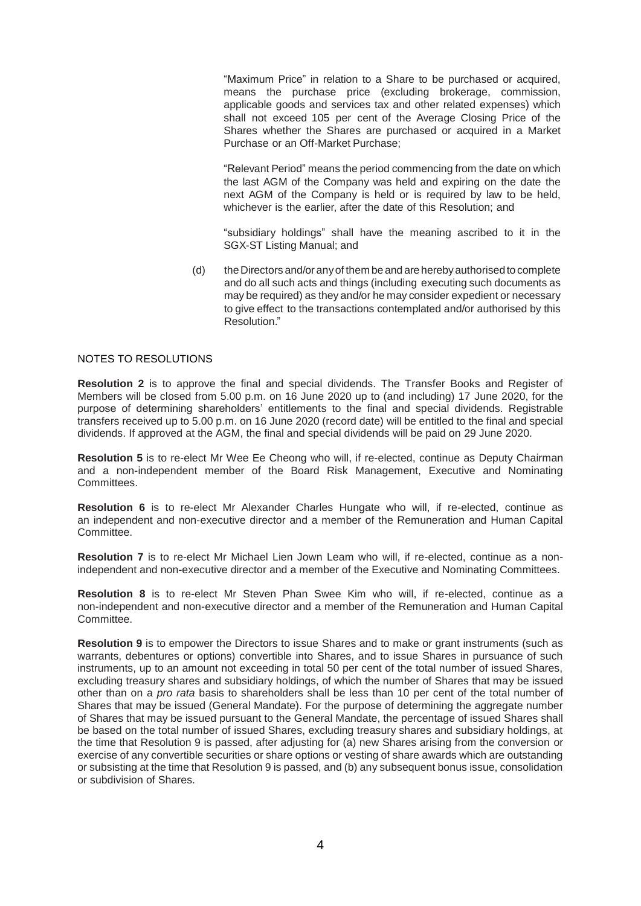"Maximum Price" in relation to a Share to be purchased or acquired, means the purchase price (excluding brokerage, commission, applicable goods and services tax and other related expenses) which shall not exceed 105 per cent of the Average Closing Price of the Shares whether the Shares are purchased or acquired in a Market Purchase or an Off-Market Purchase;

"Relevant Period" means the period commencing from the date on which the last AGM of the Company was held and expiring on the date the next AGM of the Company is held or is required by law to be held, whichever is the earlier, after the date of this Resolution; and

"subsidiary holdings" shall have the meaning ascribed to it in the SGX-ST Listing Manual; and

(d) theDirectors and/or anyof them be and are herebyauthorised to complete and do all such acts and things (including executing such documents as may be required) as they and/or he may consider expedient or necessary to give effect to the transactions contemplated and/or authorised by this Resolution."

### NOTES TO RESOLUTIONS

**Resolution 2** is to approve the final and special dividends. The Transfer Books and Register of Members will be closed from 5.00 p.m. on 16 June 2020 up to (and including) 17 June 2020, for the purpose of determining shareholders' entitlements to the final and special dividends. Registrable transfers received up to 5.00 p.m. on 16 June 2020 (record date) will be entitled to the final and special dividends. If approved at the AGM, the final and special dividends will be paid on 29 June 2020.

**Resolution 5** is to re-elect Mr Wee Ee Cheong who will, if re-elected, continue as Deputy Chairman and a non-independent member of the Board Risk Management, Executive and Nominating Committees.

**Resolution 6** is to re-elect Mr Alexander Charles Hungate who will, if re-elected, continue as an independent and non-executive director and a member of the Remuneration and Human Capital Committee.

**Resolution 7** is to re-elect Mr Michael Lien Jown Leam who will, if re-elected, continue as a nonindependent and non-executive director and a member of the Executive and Nominating Committees.

**Resolution 8** is to re-elect Mr Steven Phan Swee Kim who will, if re-elected, continue as a non-independent and non-executive director and a member of the Remuneration and Human Capital Committee.

**Resolution 9** is to empower the Directors to issue Shares and to make or grant instruments (such as warrants, debentures or options) convertible into Shares, and to issue Shares in pursuance of such instruments, up to an amount not exceeding in total 50 per cent of the total number of issued Shares, excluding treasury shares and subsidiary holdings, of which the number of Shares that may be issued other than on a *pro rata* basis to shareholders shall be less than 10 per cent of the total number of Shares that may be issued (General Mandate). For the purpose of determining the aggregate number of Shares that may be issued pursuant to the General Mandate, the percentage of issued Shares shall be based on the total number of issued Shares, excluding treasury shares and subsidiary holdings, at the time that Resolution 9 is passed, after adjusting for (a) new Shares arising from the conversion or exercise of any convertible securities or share options or vesting of share awards which are outstanding or subsisting at the time that Resolution 9 is passed, and (b) any subsequent bonus issue, consolidation or subdivision of Shares.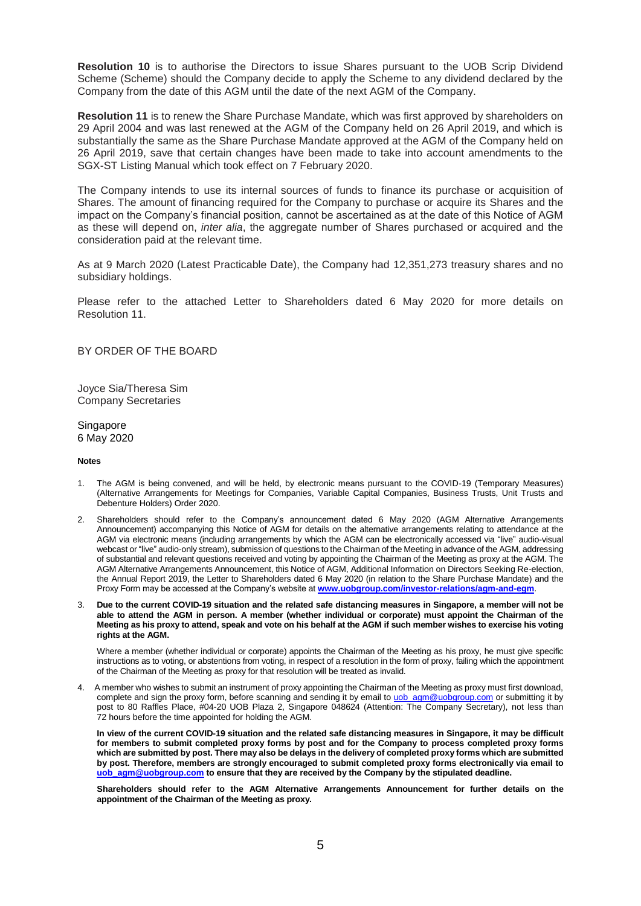**Resolution 10** is to authorise the Directors to issue Shares pursuant to the UOB Scrip Dividend Scheme (Scheme) should the Company decide to apply the Scheme to any dividend declared by the Company from the date of this AGM until the date of the next AGM of the Company.

**Resolution 11** is to renew the Share Purchase Mandate, which was first approved by shareholders on 29 April 2004 and was last renewed at the AGM of the Company held on 26 April 2019, and which is substantially the same as the Share Purchase Mandate approved at the AGM of the Company held on 26 April 2019, save that certain changes have been made to take into account amendments to the SGX-ST Listing Manual which took effect on 7 February 2020.

The Company intends to use its internal sources of funds to finance its purchase or acquisition of Shares. The amount of financing required for the Company to purchase or acquire its Shares and the impact on the Company's financial position, cannot be ascertained as at the date of this Notice of AGM as these will depend on, *inter alia*, the aggregate number of Shares purchased or acquired and the consideration paid at the relevant time.

As at 9 March 2020 (Latest Practicable Date), the Company had 12,351,273 treasury shares and no subsidiary holdings.

Please refer to the attached Letter to Shareholders dated 6 May 2020 for more details on Resolution 11.

BY ORDER OF THE BOARD

Joyce Sia/Theresa Sim Company Secretaries

Singapore 6 May 2020

#### **Notes**

- 1. The AGM is being convened, and will be held, by electronic means pursuant to the COVID-19 (Temporary Measures) (Alternative Arrangements for Meetings for Companies, Variable Capital Companies, Business Trusts, Unit Trusts and Debenture Holders) Order 2020.
- 2. Shareholders should refer to the Company's announcement dated 6 May 2020 (AGM Alternative Arrangements Announcement) accompanying this Notice of AGM for details on the alternative arrangements relating to attendance at the AGM via electronic means (including arrangements by which the AGM can be electronically accessed via "live" audio-visual webcast or "live" audio-only stream), submission of questions to the Chairman of the Meeting in advance of the AGM, addressing of substantial and relevant questions received and voting by appointing the Chairman of the Meeting as proxy at the AGM. The AGM Alternative Arrangements Announcement, this Notice of AGM, Additional Information on Directors Seeking Re-election, the Annual Report 2019, the Letter to Shareholders dated 6 May 2020 (in relation to the Share Purchase Mandate) and the Proxy Form may be accessed at the Company's website at **[www.uobgroup.com/investor-relations/agm-and-egm](https://www.uobgroup.com/investor-relations/agm-and-egm/)**.
- 3. **Due to the current COVID-19 situation and the related safe distancing measures in Singapore, a member will not be able to attend the AGM in person. A member (whether individual or corporate) must appoint the Chairman of the Meeting as his proxy to attend, speak and vote on his behalf at the AGM if such member wishes to exercise his voting rights at the AGM.**

Where a member (whether individual or corporate) appoints the Chairman of the Meeting as his proxy, he must give specific instructions as to voting, or abstentions from voting, in respect of a resolution in the form of proxy, failing which the appointment of the Chairman of the Meeting as proxy for that resolution will be treated as invalid.

4. A member who wishes to submit an instrument of proxy appointing the Chairman of the Meeting as proxy must first download, complete and sign the proxy form, before scanning and sending it by email t[o uob\\_agm@uobgroup.com](mailto:uob_agm@uobgroup.com) or submitting it by post to 80 Raffles Place, #04-20 UOB Plaza 2, Singapore 048624 (Attention: The Company Secretary), not less than 72 hours before the time appointed for holding the AGM.

**In view of the current COVID-19 situation and the related safe distancing measures in Singapore, it may be difficult for members to submit completed proxy forms by post and for the Company to process completed proxy forms which are submitted by post. There may also be delays in the delivery of completed proxy forms which are submitted by post. Therefore, members are strongly encouraged to submit completed proxy forms electronically via email to**  agm@uobgroup.com to ensure that they are received by the Company by the stipulated deadline.

**Shareholders should refer to the AGM Alternative Arrangements Announcement for further details on the appointment of the Chairman of the Meeting as proxy.**